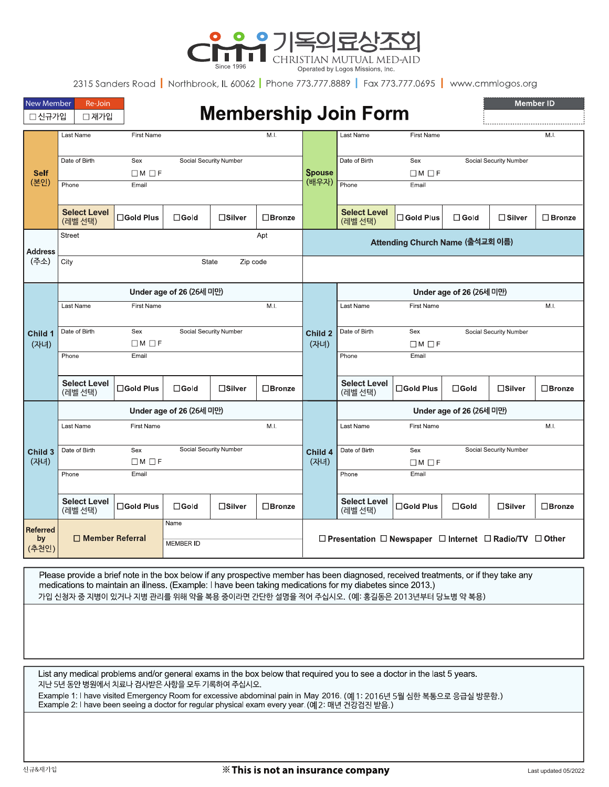

2315 Sanders Road | Northbrook, IL 60062 | Phone 773.777.8889 | Fax 773.777.0695 | www.cmmlogos.org

| <b>New Member</b><br>Re-Join<br><b>Membership Join Form</b><br>□ 신규가입<br>□ 재가입 |                                  |                                                  |                          |                        |                  |                                                                                   |                                 |                          | <b>Member ID</b> |                        |                  |
|--------------------------------------------------------------------------------|----------------------------------|--------------------------------------------------|--------------------------|------------------------|------------------|-----------------------------------------------------------------------------------|---------------------------------|--------------------------|------------------|------------------------|------------------|
| <b>Self</b><br>(본인)                                                            | Last Name                        | First Name                                       |                          |                        | MI.              |                                                                                   | Last Name                       | First Name               |                  |                        | M.I.             |
|                                                                                | Date of Birth                    | Sex<br>Social Security Number<br>$\Box M \Box F$ |                          |                        |                  | <b>Spouse</b><br>(배우자)                                                            | Date of Birth                   | Sex<br>$\Box M$ $\Box F$ |                  | Social Security Number |                  |
|                                                                                | Phone                            | Email                                            |                          |                        |                  |                                                                                   | Phone                           | Email                    |                  |                        |                  |
|                                                                                | <b>Select Level</b><br>(레벨 선택)   | $\square$ Gold Plus                              | $\square$ Gold           | $\square$ Silver       | $\square$ Bronze |                                                                                   | <b>Select Level</b><br>(레벨 선택)  | □ Gold Plus              | $\square$ Gold   | $\Box$ Silver          | $\square$ Bronze |
| <b>Address</b><br>(주소)                                                         | <b>Street</b><br>Apt             |                                                  |                          |                        |                  |                                                                                   | Attending Church Name (출석교회 이름) |                          |                  |                        |                  |
|                                                                                | City<br><b>State</b><br>Zip code |                                                  |                          |                        |                  |                                                                                   |                                 |                          |                  |                        |                  |
| Child 1<br>(자녀)                                                                | Under age of 26 (26세 미만)         |                                                  |                          |                        |                  |                                                                                   | Under age of 26 (26세 미만)        |                          |                  |                        |                  |
|                                                                                | Last Name                        | First Name                                       |                          |                        | M.               |                                                                                   | Last Name                       | <b>First Name</b>        |                  |                        | M.I.             |
|                                                                                | Date of Birth                    | Sex<br>$\Box M \Box F$                           |                          | Social Security Number |                  | Child 2<br>(자녀)                                                                   | Date of Birth                   | Sex<br>$\Box M \Box F$   |                  | Social Security Number |                  |
|                                                                                | Phone                            | Email                                            |                          |                        |                  |                                                                                   | Phone                           | Email                    |                  |                        |                  |
|                                                                                | <b>Select Level</b><br>(레벨 선택)   | □Gold Plus                                       | $\Box$ Gold              | □Silver                | $\square$ Bronze |                                                                                   | <b>Select Level</b><br>(레벨 선택)  | □Gold Plus               | $\Box$ Gold      | □Silver                | $\square$ Bronze |
|                                                                                | Under age of 26 (26세 미만)         |                                                  |                          |                        |                  |                                                                                   | Under age of 26 (26세 미만)        |                          |                  |                        |                  |
| Child 3<br>(자녀)                                                                | Last Name                        | <b>First Name</b>                                |                          |                        | M <sub>1</sub>   |                                                                                   | Last Name                       | <b>First Name</b>        |                  |                        | M.               |
|                                                                                | Date of Birth                    | Sex<br>$\Box M \Box F$                           | Social Security Number   |                        |                  | Child 4<br>(자녀)                                                                   | Date of Birth                   | Sex<br>$\Box M \Box F$   |                  | Social Security Number |                  |
|                                                                                | Phone                            | Email                                            |                          |                        |                  |                                                                                   | Phone                           | Email                    |                  |                        |                  |
|                                                                                | <b>Select Level</b><br>(레벨 선택)   | <b>□Gold Plus</b>                                | $\Box$ Gold              | □Silver                | □Bronze          |                                                                                   | <b>Select Level</b><br>(레벨 선택)  | □Gold Plus               | $\square$ Gold   | $\square$ Silver       | $\square$ Bronze |
| Referred<br>by<br>(추천인)                                                        | $\Box$ Member Referral           |                                                  | Name<br><b>MEMBER ID</b> |                        |                  | $\Box$ Presentation $\Box$ Newspaper $\Box$ Internet $\Box$ Radio/TV $\Box$ Other |                                 |                          |                  |                        |                  |

Please provide a brief note in the box below if any prospective member has been diagnosed, received treatments, or if they take any medications to maintain an illness. (Example: I have been taking medications for my diabetes since 2013.) 가입 신청자 중 지병이 있거나 지병 관리를 위해 약을 복용 중이라면 간단한 설명을 적어 주십시오. (예: 홍길동은 2013년부터 당뇨병 약 복용)

List any medical problems and/or general exams in the box below that required you to see a doctor in the last 5 years. 지난 5년 동안 병원에서 치료나 검사받은 사항을 모두 기록하여 주십시오.

Example 1: I have visited Emergency Room for excessive abdominal pain in May 2016. (예1: 2016년 5월 심한 복통으로 응급실 방문함.) Example 2: I have been seeing a doctor for regular physical exam every year. (예 2: 매년 건강검진 받음.)